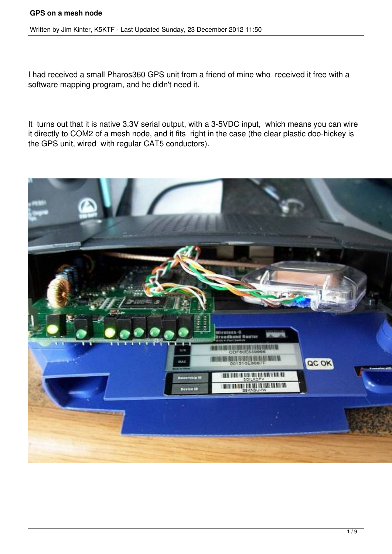#### **GPS on a mesh node**

Written by Jim Kinter, K5KTF - Last Updated Sunday, 23 December 2012 11:50

I had received a small Pharos360 GPS unit from a friend of mine who received it free with a software mapping program, and he didn't need it.

It turns out that it is native 3.3V serial output, with a 3-5VDC input, which means you can wire it directly to COM2 of a mesh node, and it fits right in the case (the clear plastic doo-hickey is the GPS unit, wired with regular CAT5 conductors).

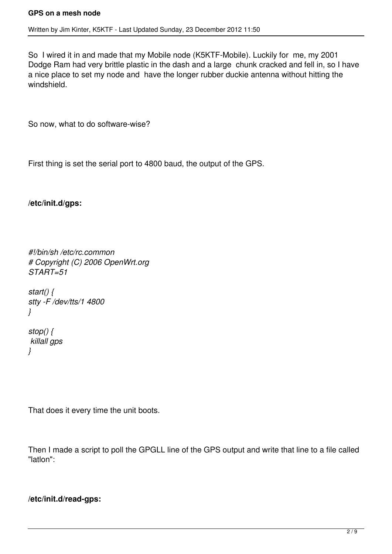So I wired it in and made that my Mobile node (K5KTF-Mobile). Luckily for me, my 2001 Dodge Ram had very brittle plastic in the dash and a large chunk cracked and fell in, so I have a nice place to set my node and have the longer rubber duckie antenna without hitting the windshield.

So now, what to do software-wise?

First thing is set the serial port to 4800 baud, the output of the GPS.

**/etc/init.d/gps:**

```
#!/bin/sh /etc/rc.common
# Copyright (C) 2006 OpenWrt.org
START=51
```

```
start() {
stty -F /dev/tts/1 4800
}
```
*stop() { killall gps }*

That does it every time the unit boots.

Then I made a script to poll the GPGLL line of the GPS output and write that line to a file called "latlon":

### **/etc/init.d/read-gps:**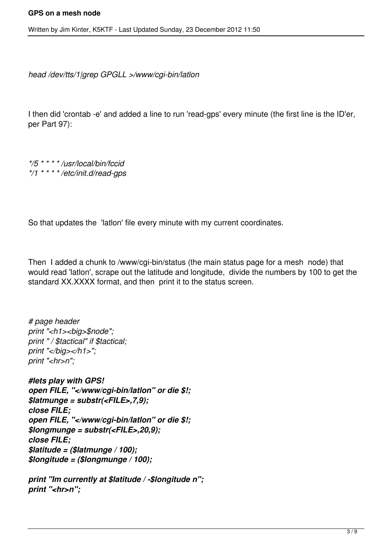*head /dev/tts/1|grep GPGLL >/www/cgi-bin/latlon*

I then did 'crontab -e' and added a line to run 'read-gps' every minute (the first line is the ID'er, per Part 97):

*\*/5 \* \* \* \* /usr/local/bin/fccid \*/1 \* \* \* \* /etc/init.d/read-gps*

So that updates the 'latlon' file every minute with my current coordinates.

Then I added a chunk to /www/cgi-bin/status (the main status page for a mesh node) that would read 'latlon', scrape out the latitude and longitude, divide the numbers by 100 to get the standard XX.XXXX format, and then print it to the status screen.

*# page header print "<h1><big>\$node"; print " / \$tactical" if \$tactical; print "</big></h1>"; print "<hr>n";*

*#lets play with GPS! open FILE, "</www/cgi-bin/latlon" or die \$!; \$latmunge = substr(<FILE>,7,9); close FILE; open FILE, "</www/cgi-bin/latlon" or die \$!; \$longmunge = substr(<FILE>,20,9); close FILE; \$latitude = (\$latmunge / 100); \$longitude = (\$longmunge / 100);*

*print "Im currently at \$latitude / -\$longitude n"; print "<hr>n";*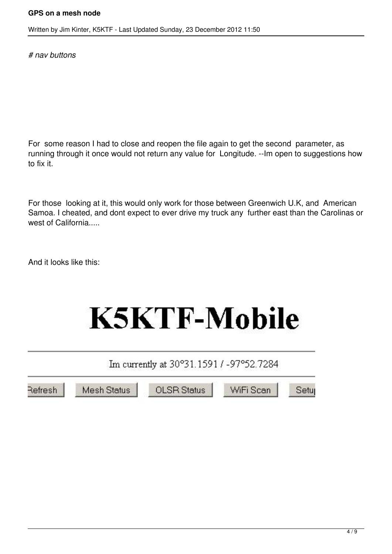*# nav buttons*

For some reason I had to close and reopen the file again to get the second parameter, as running through it once would not return any value for Longitude. --Im open to suggestions how to fix it.

For those looking at it, this would only work for those between Greenwich U.K, and American Samoa. I cheated, and dont expect to ever drive my truck any further east than the Carolinas or west of California.....

And it looks like this:

# **K5KTF-Mobile**

Im currently at 30°31.1591 / -97°52.7284

Refresh

**Mesh Status** 

**OLSR Status** 

WiFi Scan

Setu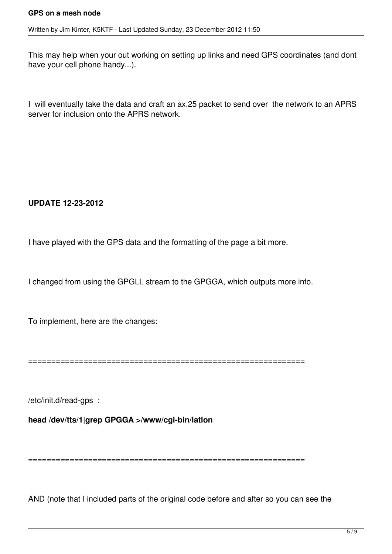This may help when your out working on setting up links and need GPS coordinates (and dont have your cell phone handy...).

I will eventually take the data and craft an ax.25 packet to send over the network to an APRS server for inclusion onto the APRS network.

### **UPDATE 12-23-2012**

I have played with the GPS data and the formatting of the page a bit more.

I changed from using the GPGLL stream to the GPGGA, which outputs more info.

To implement, here are the changes:

============================================================

/etc/init.d/read-gps :

**head /dev/tts/1|grep GPGGA >/www/cgi-bin/latlon**

============================================================

AND (note that I included parts of the original code before and after so you can see the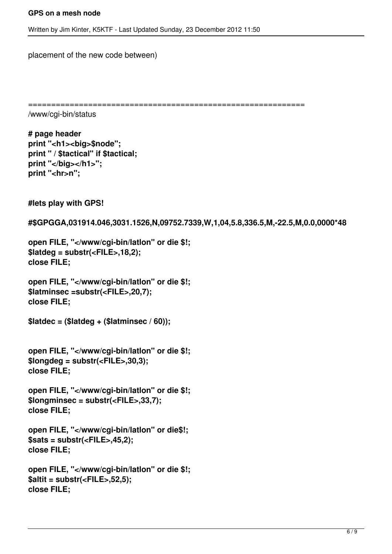placement of the new code between)

```
============================================================
```
/www/cgi-bin/status

**# page header print "<h1><big>\$node"; print " / \$tactical" if \$tactical; print "</big></h1>";** print "<hr>n";

**#lets play with GPS!**

**#\$GPGGA,031914.046,3031.1526,N,09752.7339,W,1,04,5.8,336.5,M,-22.5,M,0.0,0000\*48**

```
open FILE, "</www/cgi-bin/latlon" or die $!;
$latdeg = substr(<FILE>,18,2);
close FILE;
```

```
open FILE, "</www/cgi-bin/latlon" or die $!;
$latminsec =substr(<FILE>,20,7);
close FILE;
```

```
$latdec = ($latdeg + ($latminsec / 60));
```

```
open FILE, "</www/cgi-bin/latlon" or die $!;
$longdeg = substr(<FILE>,30,3);
close FILE;
```

```
open FILE, "</www/cgi-bin/latlon" or die $!;
$longminsec = substr(<FILE>,33,7);
close FILE;
```

```
open FILE, "</www/cgi-bin/latlon" or die$!;
$sats = substr(<FILE>,45,2);
close FILE;
```

```
open FILE, "</www/cgi-bin/latlon" or die $!;
$altit = substr(<FILE>,52,5);
close FILE;
```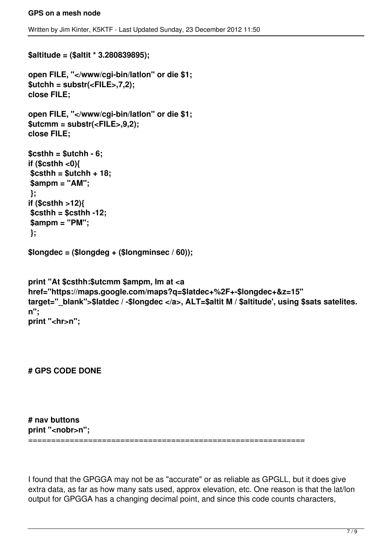```
$altitude = ($altit * 3.280839895);
open FILE, "</www/cgi-bin/latlon" or die $1;
$utchh = substr(<FILE>,7,2);
close FILE;
open FILE, "</www/cgi-bin/latlon" or die $1;
$utcmm = substr(<FILE>,9,2);
close FILE;
$csthh = $utchh - 6;
if ($csthh <0){
 $csthh = $utchh + 18;
 $ampm = "AM";
 };
if ($csthh >12){
 $csthh = $csthh -12;
 $ampm = "PM";
 };
$longdec = ($longdeg + ($longminsec / 60));
print "At $csthh:$utcmm $ampm, Im at <a
href="https://maps.google.com/maps?q=$latdec+%2F+-$longdec+&z=15"
target=" blank">$latdec / -$longdec </a>, ALT=$altit M / $altitude', using $sats satelites.
n";
print "<hr>n";
```
**# GPS CODE DONE**

**# nav buttons print "<nobr>n";**

============================================================

I found that the GPGGA may not be as "accurate" or as reliable as GPGLL, but it does give extra data, as far as how many sats used, approx elevation, etc. One reason is that the lat/lon output for GPGGA has a changing decimal point, and since this code counts characters,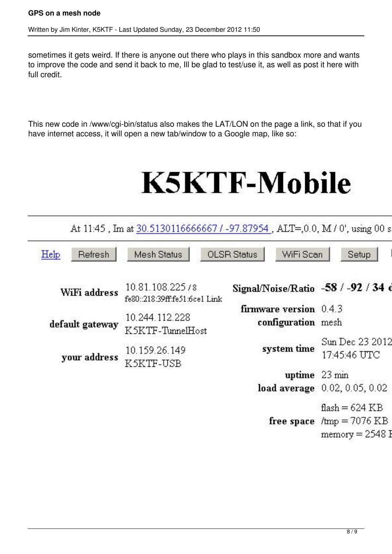sometimes it gets weird. If there is anyone out there who plays in this sandbox more and wants to improve the code and send it back to me, Ill be glad to test/use it, as well as post it here with full credit.

This new code in /www/cgi-bin/status also makes the LAT/LON on the page a link, so that if you have internet access, it will open a new tab/window to a Google map, like so:

# **K5KTF-Mobile**

|                 | At 11:45, Im at 30.5130116666667 / -97.87954, ALT=,0.0, M / 0', using 00 s |                                                |                                            |
|-----------------|----------------------------------------------------------------------------|------------------------------------------------|--------------------------------------------|
| Help<br>Refresh | Mesh Status                                                                | <b>OLSR</b> Status<br>WiFi Scan                | Setup                                      |
| WiFi address    | 10.81.108.225/8<br>fe80::218:39ff:fe51:6ce1 Link                           | Signal/Noise/Ratio -58 / -92 / 34 d            |                                            |
| default gateway | 10.244.112.228<br>K5KTF-TunnelHost                                         | firmware version $0.4.3$<br>configuration mesh |                                            |
| your address    | 10.159.26.149<br>K5KTF-USB                                                 | system time                                    | Sun Dec 23 2012<br>17:45:46 UTC            |
|                 |                                                                            | uptime 23 min                                  |                                            |
|                 |                                                                            |                                                | load average 0.02, 0.05, 0.02              |
|                 |                                                                            |                                                | flash = $624$ KB                           |
|                 |                                                                            |                                                | free space $/\text{tmp} = 7076 \text{ KB}$ |
|                 |                                                                            |                                                | $memory = 2548$ F                          |